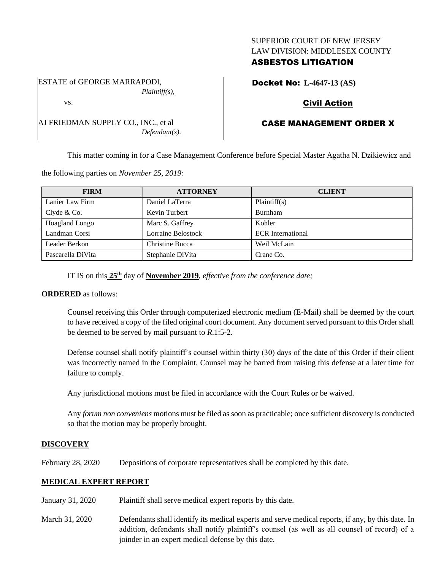### SUPERIOR COURT OF NEW JERSEY LAW DIVISION: MIDDLESEX COUNTY

## ASBESTOS LITIGATION

ESTATE of GEORGE MARRAPODI, *Plaintiff(s),*

vs.

AJ FRIEDMAN SUPPLY CO., INC., et al *Defendant(s).* Docket No: **L-4647-13 (AS)**

## Civil Action

# CASE MANAGEMENT ORDER X

This matter coming in for a Case Management Conference before Special Master Agatha N. Dzikiewicz and

the following parties on *November 25, 2019:*

| <b>FIRM</b>       | <b>ATTORNEY</b>    | <b>CLIENT</b>            |
|-------------------|--------------------|--------------------------|
| Lanier Law Firm   | Daniel LaTerra     | Plaintiff(s)             |
| Clyde & Co.       | Kevin Turbert      | Burnham                  |
| Hoagland Longo    | Marc S. Gaffrey    | Kohler                   |
| Landman Corsi     | Lorraine Belostock | <b>ECR</b> International |
| Leader Berkon     | Christine Bucca    | Weil McLain              |
| Pascarella DiVita | Stephanie DiVita   | Crane Co.                |

IT IS on this **25th** day of **November 2019**, *effective from the conference date;*

### **ORDERED** as follows:

Counsel receiving this Order through computerized electronic medium (E-Mail) shall be deemed by the court to have received a copy of the filed original court document. Any document served pursuant to this Order shall be deemed to be served by mail pursuant to *R*.1:5-2.

Defense counsel shall notify plaintiff's counsel within thirty (30) days of the date of this Order if their client was incorrectly named in the Complaint. Counsel may be barred from raising this defense at a later time for failure to comply.

Any jurisdictional motions must be filed in accordance with the Court Rules or be waived.

Any *forum non conveniens* motions must be filed as soon as practicable; once sufficient discovery is conducted so that the motion may be properly brought.

### **DISCOVERY**

February 28, 2020 Depositions of corporate representatives shall be completed by this date.

## **MEDICAL EXPERT REPORT**

- January 31, 2020 Plaintiff shall serve medical expert reports by this date.
- March 31, 2020 Defendants shall identify its medical experts and serve medical reports, if any, by this date. In addition, defendants shall notify plaintiff's counsel (as well as all counsel of record) of a joinder in an expert medical defense by this date.